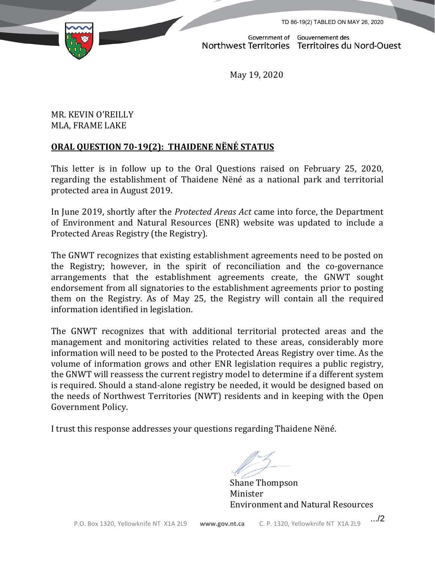TD 86-19(2) TABLED ON MAY 26, 2020



Government of Gouvernement des Northwest Territories Territoires du Nord-Ouest

May 19, 2020

## MR. KEVIN O'REILLY MLA, FRAME LAKE

## **ORAL QUESTION 70-19(2): THAIDENE NËNÉ STATUS**

This letter is in follow up to the Oral Questions raised on February 25, 2020, regarding the establishment of Thaidene Nëné as a national park and territorial protected area in August 2019.

In June 2019, shortly after the *Protected Areas Act* came into force, the Department of Environment and Natural Resources (ENR) website was updated to include a Protected Areas Registry (the Registry).

The GNWT recognizes that existing establishment agreements need to be posted on the Registry; however, in the spirit of reconciliation and the co-governance arrangements that the establishment agreements create, the GNWT sought endorsement from all signatories to the establishment agreements prior to posting them on the Registry. As of May 25, the Registry will contain all the required information identified in legislation.

The GNWT recognizes that with additional territorial protected areas and the management and monitoring activities related to these areas, considerably more information will need to be posted to the Protected Areas Registry over time. As the volume of information grows and other ENR legislation requires a public registry, the GNWT will reassess the current registry model to determine if a different system is required. Should a stand-alone registry be needed, it would be designed based on the needs of Northwest Territories (NWT) residents and in keeping with the Open Government Policy.

I trust this response addresses your questions regarding Thaidene Nëné.

Shane Thompson Minister Environment and Natural Resources